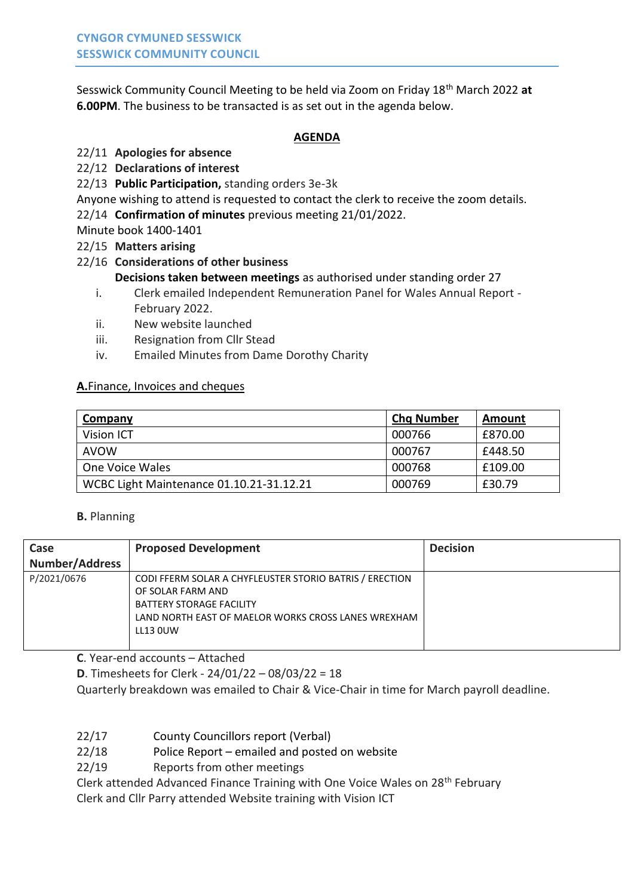Sesswick Community Council Meeting to be held via Zoom on Friday 18th March 2022 **at 6.00PM**. The business to be transacted is as set out in the agenda below.

### **AGENDA**

# 22/11 **Apologies for absence**

- 22/12 **Declarations of interest**
- 22/13 **Public Participation,** standing orders 3e-3k
- Anyone wishing to attend is requested to contact the clerk to receive the zoom details.
- 22/14 **Confirmation of minutes** previous meeting 21/01/2022.

Minute book 1400-1401

22/15 **Matters arising**

## 22/16 **Considerations of other business**

- **Decisions taken between meetings** as authorised under standing order 27
- i. Clerk emailed Independent Remuneration Panel for Wales Annual Report February 2022.
- ii. New website launched
- iii. Resignation from Cllr Stead
- iv. Emailed Minutes from Dame Dorothy Charity

#### **A.**Finance, Invoices and cheques

| <b>Company</b>                           | <b>Chg Number</b> | Amount  |
|------------------------------------------|-------------------|---------|
| Vision ICT                               | 000766            | £870.00 |
| <b>AVOW</b>                              | 000767            | £448.50 |
| One Voice Wales                          | 000768            | £109.00 |
| WCBC Light Maintenance 01.10.21-31.12.21 | 000769            | £30.79  |

### **B.** Planning

| Case                  | <b>Proposed Development</b>                                                                                                                                                               | <b>Decision</b> |
|-----------------------|-------------------------------------------------------------------------------------------------------------------------------------------------------------------------------------------|-----------------|
| <b>Number/Address</b> |                                                                                                                                                                                           |                 |
| P/2021/0676           | CODI FFERM SOLAR A CHYFLEUSTER STORIO BATRIS / ERECTION<br>OF SOLAR FARM AND<br><b>BATTERY STORAGE FACILITY</b><br>LAND NORTH EAST OF MAELOR WORKS CROSS LANES WREXHAM<br><b>LL13 OUW</b> |                 |

**C**. Year-end accounts – Attached

**D**. Timesheets for Clerk - 24/01/22 – 08/03/22 = 18

Quarterly breakdown was emailed to Chair & Vice-Chair in time for March payroll deadline.

- 22/17 County Councillors report (Verbal)
- 22/18 Police Report emailed and posted on website

22/19 Reports from other meetings

Clerk attended Advanced Finance Training with One Voice Wales on 28<sup>th</sup> February

Clerk and Cllr Parry attended Website training with Vision ICT